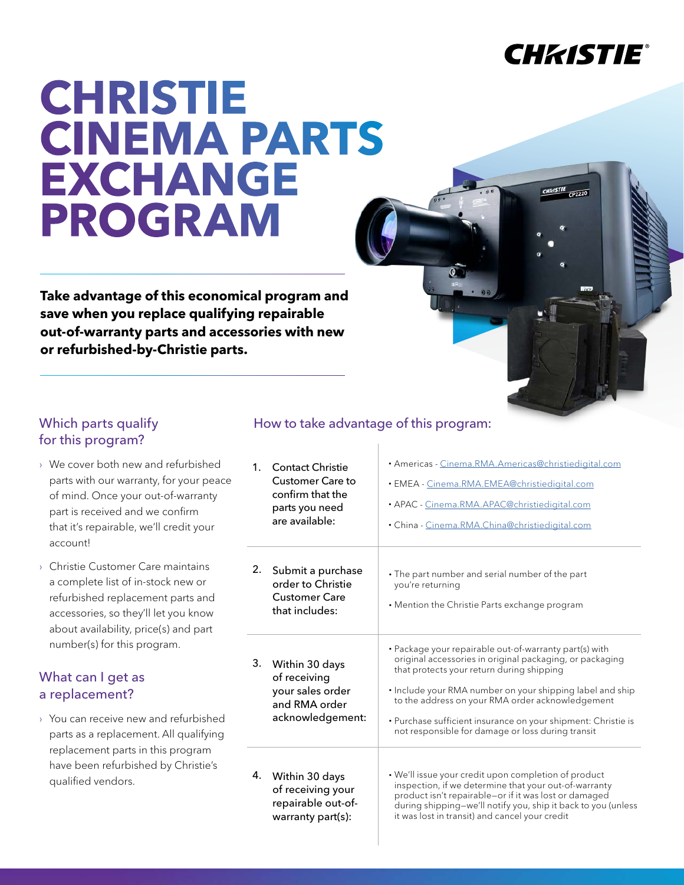## **CHKISTIE®**

 $CP<sub>2220</sub>$ 

# **CHRISTIE CINEMA PARTS EXCHANGE PROGRAM**

**Take advantage of this economical program and save when you replace qualifying repairable out-of-warranty parts and accessories with new or refurbished-by-Christie parts.**

## for this program?

- › We cover both new and refurbished parts with our warranty, for your peace of mind. Once your out-of-warranty part is received and we confirm that it's repairable, we'll credit your account!
- › Christie Customer Care maintains a complete list of in-stock new or refurbished replacement parts and accessories, so they'll let you know about availability, price(s) and part number(s) for this program.

### What can I get as a replacement?

› You can receive new and refurbished parts as a replacement. All qualifying replacement parts in this program have been refurbished by Christie's qualified vendors.

## Which parts qualify **How to take advantage of this program:**

| 1 <sub>1</sub> | <b>Contact Christie</b><br><b>Customer Care to</b><br>confirm that the<br>parts you need<br>are available: | · Americas - Cinema.RMA.Americas@christiedigital.com<br>· EMEA - Cinema.RMA.EMEA@christiedigital.com<br>· APAC - Cinema.RMA.APAC@christiedigital.com<br>• China - Cinema.RMA.China@christiedigital.com                                                                                                                                                                                                 |
|----------------|------------------------------------------------------------------------------------------------------------|--------------------------------------------------------------------------------------------------------------------------------------------------------------------------------------------------------------------------------------------------------------------------------------------------------------------------------------------------------------------------------------------------------|
| 2.             | Submit a purchase<br>order to Christie<br><b>Customer Care</b><br>that includes:                           | • The part number and serial number of the part<br>you're returning<br>• Mention the Christie Parts exchange program                                                                                                                                                                                                                                                                                   |
| 3.             | Within 30 days<br>of receiving<br>your sales order<br>and RMA order<br>acknowledgement:                    | • Package your repairable out-of-warranty part(s) with<br>original accessories in original packaging, or packaging<br>that protects your return during shipping<br>• Include your RMA number on your shipping label and ship<br>to the address on your RMA order acknowledgement<br>• Purchase sufficient insurance on your shipment: Christie is<br>not responsible for damage or loss during transit |
| 4.             | Within 30 days<br>of receiving your<br>repairable out-of-<br>warranty part(s):                             | • We'll issue your credit upon completion of product<br>inspection, if we determine that your out-of-warranty<br>product isn't repairable-or if it was lost or damaged<br>during shipping-we'll notify you, ship it back to you (unless<br>it was lost in transit) and cancel your credit                                                                                                              |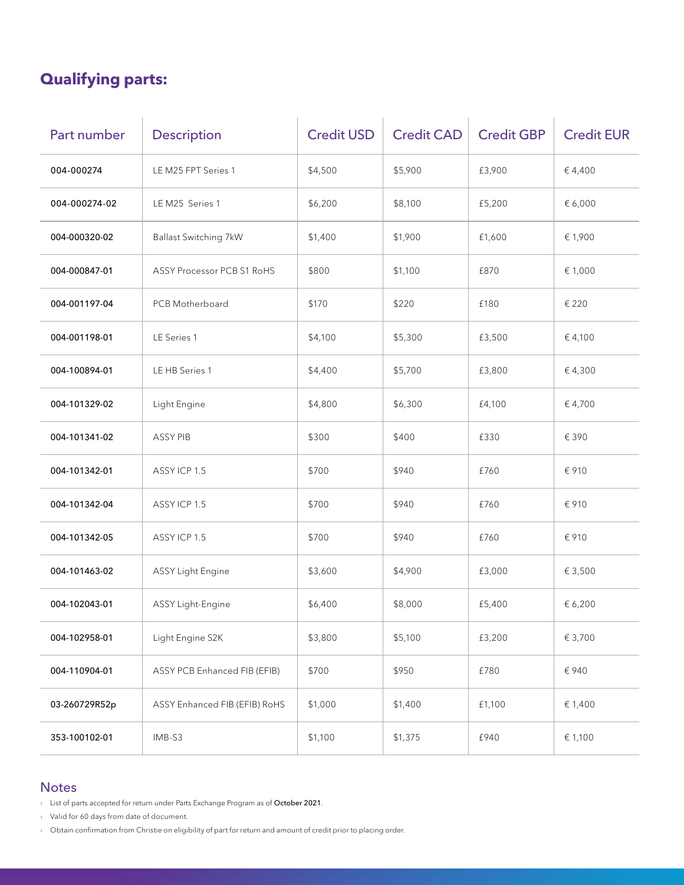## **Qualifying parts:**

| Part number   | <b>Description</b>            | <b>Credit USD</b> | <b>Credit CAD</b> | <b>Credit GBP</b> | <b>Credit EUR</b> |
|---------------|-------------------------------|-------------------|-------------------|-------------------|-------------------|
| 004-000274    | LE M25 FPT Series 1           | \$4,500           | \$5,900           | £3,900            | €4,400            |
| 004-000274-02 | LE M25 Series 1               | \$6,200           | \$8,100           | £5,200            | € 6,000           |
| 004-000320-02 | <b>Ballast Switching 7kW</b>  | \$1,400           | \$1,900           | £1,600            | € 1,900           |
| 004-000847-01 | ASSY Processor PCB S1 RoHS    | \$800             | \$1,100           | £870              | € 1,000           |
| 004-001197-04 | PCB Motherboard               | \$170             | \$220             | £180              | € 220             |
| 004-001198-01 | LE Series 1                   | \$4,100           | \$5,300           | £3,500            | € 4,100           |
| 004-100894-01 | LE HB Series 1                | \$4,400           | \$5,700           | £3,800            | €4,300            |
| 004-101329-02 | Light Engine                  | \$4,800           | \$6,300           | £4,100            | € 4,700           |
| 004-101341-02 | <b>ASSY PIB</b>               | \$300             | \$400             | £330              | € 390             |
| 004-101342-01 | ASSYICP 1.5                   | \$700             | \$940             | £760              | € 910             |
| 004-101342-04 | ASSY ICP 1.5                  | \$700             | \$940             | £760              | € 910             |
| 004-101342-05 | ASSYICP 1.5                   | \$700             | \$940             | £760              | € 910             |
| 004-101463-02 | <b>ASSY Light Engine</b>      | \$3,600           | \$4,900           | £3,000            | € 3,500           |
| 004-102043-01 | ASSY Light-Engine             | \$6,400           | \$8,000           | £5,400            | € 6,200           |
| 004-102958-01 | Light Engine S2K              | \$3,800           | \$5,100           | £3,200            | € 3,700           |
| 004-110904-01 | ASSY PCB Enhanced FIB (EFIB)  | \$700             | \$950             | £780              | € 940             |
| 03-260729R52p | ASSY Enhanced FIB (EFIB) RoHS | \$1,000           | \$1,400           | £1,100            | € 1,400           |
| 353-100102-01 | IMB-S3                        | \$1,100           | \$1,375           | £940              | € 1,100           |

### **Notes**

› List of parts accepted for return under Parts Exchange Program as of October 2021.

› Valid for 60 days from date of document.

› Obtain confirmation from Christie on eligibility of part for return and amount of credit prior to placing order.